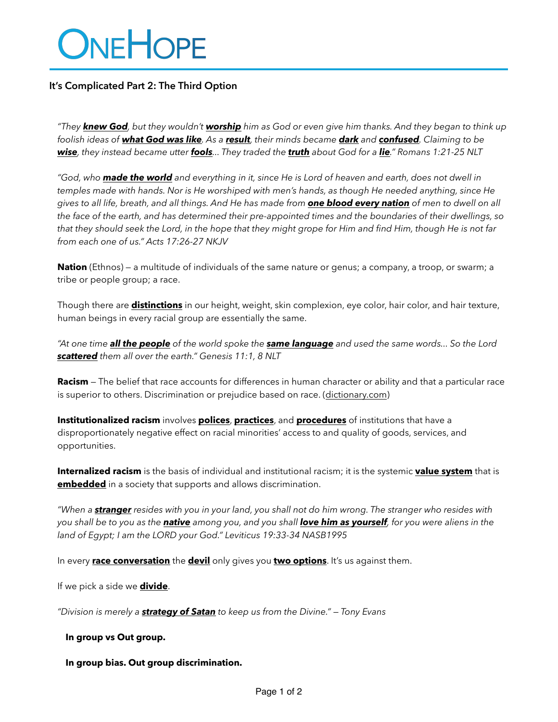# ONEHOPE

# **It's Complicated Part 2: The Third Option**

*"They knew God, but they wouldn't worship him as God or even give him thanks. And they began to think up foolish ideas of what God was like. As a result, their minds became dark and confused. Claiming to be wise, they instead became utter fools... They traded the truth about God for a lie." Romans 1:21-25 NLT*

*"God, who made the world and everything in it, since He is Lord of heaven and earth, does not dwell in temples made with hands. Nor is He worshiped with men's hands, as though He needed anything, since He gives to all life, breath, and all things. And He has made from one blood every nation of men to dwell on all the face of the earth, and has determined their pre-appointed times and the boundaries of their dwellings, so that they should seek the Lord, in the hope that they might grope for Him and find Him, though He is not far from each one of us." Acts 17:26-27 NKJV*

**Nation** (Ethnos) — a multitude of individuals of the same nature or genus; a company, a troop, or swarm; a tribe or people group; a race.

Though there are **distinctions** in our height, weight, skin complexion, eye color, hair color, and hair texture, human beings in every racial group are essentially the same.

*"At one time all the people of the world spoke the same language and used the same words... So the Lord scattered them all over the earth." Genesis 11:1, 8 NLT*

**Racism** — The belief that race accounts for differences in human character or ability and that a particular race is superior to others. Discrimination or prejudice based on race. [\(dictionary.com\)](http://dictionary.com)

**Institutionalized racism** involves **polices**, **practices**, and **procedures** of institutions that have a disproportionately negative effect on racial minorities' access to and quality of goods, services, and opportunities.

**Internalized racism** is the basis of individual and institutional racism; it is the systemic **value system** that is **embedded** in a society that supports and allows discrimination.

*"When a stranger resides with you in your land, you shall not do him wrong. The stranger who resides with you shall be to you as the native among you, and you shall love him as yourself, for you were aliens in the land of Egypt; I am the LORD your God." Leviticus 19:33-34 NASB1995*

In every **race conversation** the **devil** only gives you **two options**. It's us against them.

If we pick a side we **divide**.

*"Division is merely a strategy of Satan to keep us from the Divine." — Tony Evans*

**In group vs Out group.** 

**In group bias. Out group discrimination.**